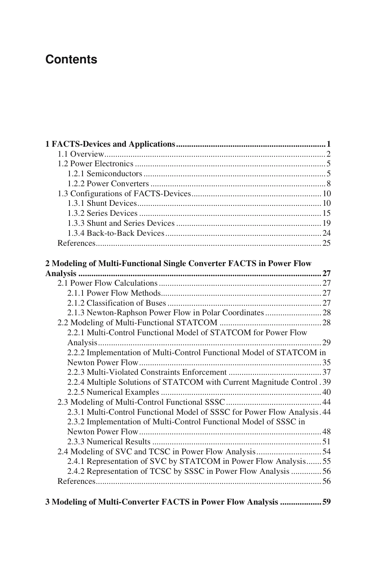## **Contents**

| 2 Modeling of Multi-Functional Single Converter FACTS in Power Flow      |  |
|--------------------------------------------------------------------------|--|
|                                                                          |  |
|                                                                          |  |
|                                                                          |  |
|                                                                          |  |
| 2.1.3 Newton-Raphson Power Flow in Polar Coordinates 28                  |  |
|                                                                          |  |
| 2.2.1 Multi-Control Functional Model of STATCOM for Power Flow           |  |
|                                                                          |  |
| 2.2.2 Implementation of Multi-Control Functional Model of STATCOM in     |  |
|                                                                          |  |
|                                                                          |  |
| 2.2.4 Multiple Solutions of STATCOM with Current Magnitude Control .39   |  |
|                                                                          |  |
|                                                                          |  |
| 2.3.1 Multi-Control Functional Model of SSSC for Power Flow Analysis. 44 |  |
| 2.3.2 Implementation of Multi-Control Functional Model of SSSC in        |  |
|                                                                          |  |
|                                                                          |  |
|                                                                          |  |
| 2.4.1 Representation of SVC by STATCOM in Power Flow Analysis55          |  |
| 2.4.2 Representation of TCSC by SSSC in Power Flow Analysis  56          |  |
|                                                                          |  |
|                                                                          |  |
| 3 Modeling of Multi-Converter FACTS in Power Flow Analysis 59            |  |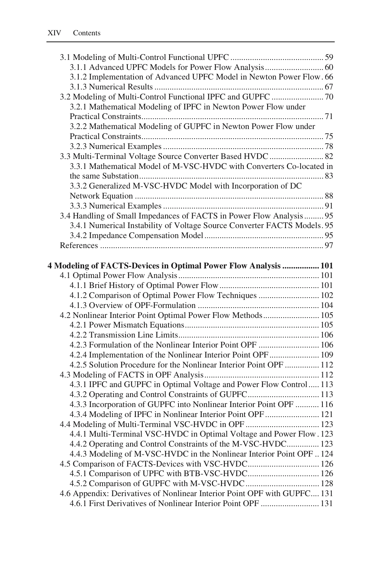| 3.1.1 Advanced UPFC Models for Power Flow Analysis 60                                                                                    |  |
|------------------------------------------------------------------------------------------------------------------------------------------|--|
| 3.1.2 Implementation of Advanced UPFC Model in Newton Power Flow. 66                                                                     |  |
|                                                                                                                                          |  |
| 3.2 Modeling of Multi-Control Functional IPFC and GUPFC  70                                                                              |  |
| 3.2.1 Mathematical Modeling of IPFC in Newton Power Flow under                                                                           |  |
|                                                                                                                                          |  |
| 3.2.2 Mathematical Modeling of GUPFC in Newton Power Flow under                                                                          |  |
|                                                                                                                                          |  |
|                                                                                                                                          |  |
| 3.3 Multi-Terminal Voltage Source Converter Based HVDC  82                                                                               |  |
| 3.3.1 Mathematical Model of M-VSC-HVDC with Converters Co-located in                                                                     |  |
|                                                                                                                                          |  |
| 3.3.2 Generalized M-VSC-HVDC Model with Incorporation of DC                                                                              |  |
|                                                                                                                                          |  |
|                                                                                                                                          |  |
| 3.4 Handling of Small Impedances of FACTS in Power Flow Analysis  95                                                                     |  |
| 3.4.1 Numerical Instability of Voltage Source Converter FACTS Models. 95                                                                 |  |
|                                                                                                                                          |  |
|                                                                                                                                          |  |
|                                                                                                                                          |  |
| 4 Modeling of FACTS-Devices in Optimal Power Flow Analysis  101                                                                          |  |
|                                                                                                                                          |  |
|                                                                                                                                          |  |
| 4.1.2 Comparison of Optimal Power Flow Techniques  102                                                                                   |  |
|                                                                                                                                          |  |
| 4.2 Nonlinear Interior Point Optimal Power Flow Methods 105                                                                              |  |
|                                                                                                                                          |  |
|                                                                                                                                          |  |
| 4.2.3 Formulation of the Nonlinear Interior Point OPF  106                                                                               |  |
| 4.2.4 Implementation of the Nonlinear Interior Point OPF  109                                                                            |  |
| 4.2.5 Solution Procedure for the Nonlinear Interior Point OPF  112                                                                       |  |
|                                                                                                                                          |  |
| 4.3.1 IPFC and GUPFC in Optimal Voltage and Power Flow Control 113                                                                       |  |
| 4.3.2 Operating and Control Constraints of GUPFC 113                                                                                     |  |
| 4.3.3 Incorporation of GUPFC into Nonlinear Interior Point OPF  116                                                                      |  |
| 4.3.4 Modeling of IPFC in Nonlinear Interior Point OPF  121                                                                              |  |
| 4.4 Modeling of Multi-Terminal VSC-HVDC in OPF  123                                                                                      |  |
| 4.4.1 Multi-Terminal VSC-HVDC in Optimal Voltage and Power Flow. 123                                                                     |  |
| 4.4.2 Operating and Control Constraints of the M-VSC-HVDC 123                                                                            |  |
| 4.4.3 Modeling of M-VSC-HVDC in the Nonlinear Interior Point OPF  124                                                                    |  |
| 4.5 Comparison of FACTS-Devices with VSC-HVDC 126                                                                                        |  |
|                                                                                                                                          |  |
|                                                                                                                                          |  |
|                                                                                                                                          |  |
|                                                                                                                                          |  |
| 4.6 Appendix: Derivatives of Nonlinear Interior Point OPF with GUPFC 131<br>4.6.1 First Derivatives of Nonlinear Interior Point OPF  131 |  |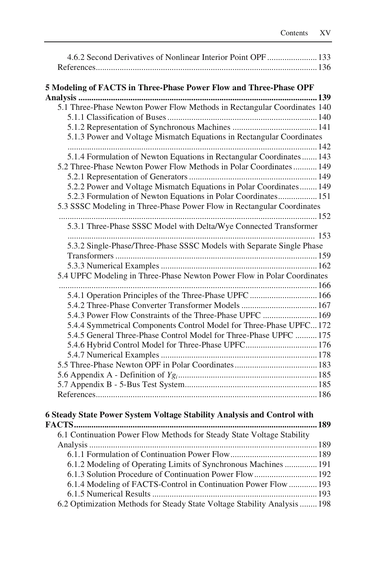| 4.6.2 Second Derivatives of Nonlinear Interior Point OPF  133                                                                                |  |
|----------------------------------------------------------------------------------------------------------------------------------------------|--|
|                                                                                                                                              |  |
| 5 Modeling of FACTS in Three-Phase Power Flow and Three-Phase OPF                                                                            |  |
| 5.1 Three-Phase Newton Power Flow Methods in Rectangular Coordinates 140                                                                     |  |
|                                                                                                                                              |  |
|                                                                                                                                              |  |
| 5.1.3 Power and Voltage Mismatch Equations in Rectangular Coordinates                                                                        |  |
|                                                                                                                                              |  |
| 5.1.4 Formulation of Newton Equations in Rectangular Coordinates  143<br>5.2 Three-Phase Newton Power Flow Methods in Polar Coordinates  149 |  |
|                                                                                                                                              |  |
| 5.2.2 Power and Voltage Mismatch Equations in Polar Coordinates 149                                                                          |  |
| 5.2.3 Formulation of Newton Equations in Polar Coordinates 151                                                                               |  |
| 5.3 SSSC Modeling in Three-Phase Power Flow in Rectangular Coordinates                                                                       |  |
|                                                                                                                                              |  |
| 5.3.1 Three-Phase SSSC Model with Delta/Wye Connected Transformer                                                                            |  |
|                                                                                                                                              |  |
| 5.3.2 Single-Phase/Three-Phase SSSC Models with Separate Single Phase                                                                        |  |
|                                                                                                                                              |  |
|                                                                                                                                              |  |
| 5.4 UPFC Modeling in Three-Phase Newton Power Flow in Polar Coordinates                                                                      |  |
|                                                                                                                                              |  |
| 5.4.1 Operation Principles of the Three-Phase UPFC  166                                                                                      |  |
| 5.4.2 Three-Phase Converter Transformer Models  167                                                                                          |  |
| 5.4.3 Power Flow Constraints of the Three-Phase UPFC  169                                                                                    |  |
| 5.4.4 Symmetrical Components Control Model for Three-Phase UPFC 172<br>5.4.5 General Three-Phase Control Model for Three-Phase UPFC  175     |  |
| 5.4.6 Hybrid Control Model for Three-Phase UPFC 176                                                                                          |  |
|                                                                                                                                              |  |
|                                                                                                                                              |  |
|                                                                                                                                              |  |
|                                                                                                                                              |  |
|                                                                                                                                              |  |
|                                                                                                                                              |  |
| 6 Steady State Power System Voltage Stability Analysis and Control with                                                                      |  |
|                                                                                                                                              |  |
| 6.1 Continuation Power Flow Methods for Steady State Voltage Stability                                                                       |  |
|                                                                                                                                              |  |
|                                                                                                                                              |  |
| 6.1.2 Modeling of Operating Limits of Synchronous Machines  191                                                                              |  |
| 6.1.3 Solution Procedure of Continuation Power Flow 192                                                                                      |  |
| 6.1.4 Modeling of FACTS-Control in Continuation Power Flow  193                                                                              |  |
|                                                                                                                                              |  |

6.2 Optimization Methods for Steady State Voltage Stability Analysis ........ 198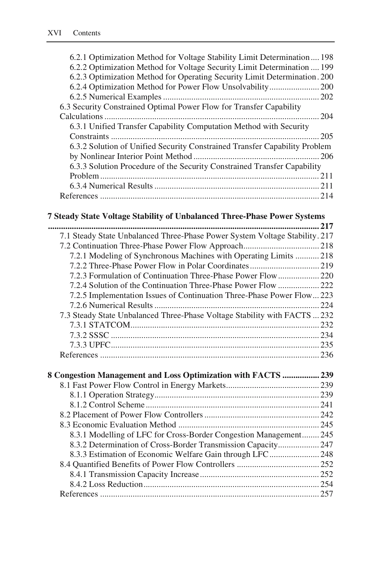| 6.2.1 Optimization Method for Voltage Stability Limit Determination 198    |
|----------------------------------------------------------------------------|
| 6.2.2 Optimization Method for Voltage Security Limit Determination  199    |
| 6.2.3 Optimization Method for Operating Security Limit Determination. 200  |
|                                                                            |
|                                                                            |
| 6.3 Security Constrained Optimal Power Flow for Transfer Capability        |
|                                                                            |
| 6.3.1 Unified Transfer Capability Computation Method with Security         |
| .205                                                                       |
| 6.3.2 Solution of Unified Security Constrained Transfer Capability Problem |
|                                                                            |
| 6.3.3 Solution Procedure of the Security Constrained Transfer Capability   |
|                                                                            |
|                                                                            |
|                                                                            |
|                                                                            |

## **7 Steady State Voltage Stability of Unbalanced Three-Phase Power Systems**

| 7.1 Steady State Unbalanced Three-Phase Power System Voltage Stability. 217 |  |
|-----------------------------------------------------------------------------|--|
|                                                                             |  |
| 7.2.1 Modeling of Synchronous Machines with Operating Limits  218           |  |
|                                                                             |  |
| 7.2.3 Formulation of Continuation Three-Phase Power Flow  220               |  |
| 7.2.4 Solution of the Continuation Three-Phase Power Flow  222              |  |
| 7.2.5 Implementation Issues of Continuation Three-Phase Power Flow 223      |  |
|                                                                             |  |
| 7.3 Steady State Unbalanced Three-Phase Voltage Stability with FACTS  232   |  |
|                                                                             |  |
|                                                                             |  |
|                                                                             |  |
|                                                                             |  |
|                                                                             |  |
|                                                                             |  |
| 8 Congestion Management and Loss Optimization with FACTS  239               |  |
|                                                                             |  |
|                                                                             |  |
|                                                                             |  |
|                                                                             |  |
|                                                                             |  |
| 8.3.1 Modelling of LFC for Cross-Border Congestion Management 245           |  |
| 8.3.2 Determination of Cross-Border Transmission Capacity 247               |  |
| 8.3.3 Estimation of Economic Welfare Gain through LFC 248                   |  |
|                                                                             |  |
|                                                                             |  |
|                                                                             |  |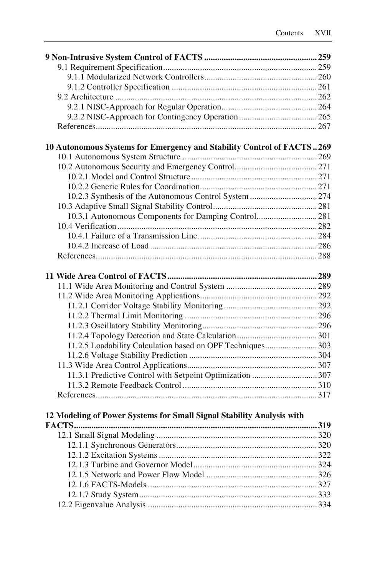| 10 Autonomous Systems for Emergency and Stability Control of FACTS269 |  |
|-----------------------------------------------------------------------|--|
|                                                                       |  |
|                                                                       |  |
|                                                                       |  |
|                                                                       |  |
|                                                                       |  |
|                                                                       |  |
| 10.3.1 Autonomous Components for Damping Control 281                  |  |
|                                                                       |  |
|                                                                       |  |
|                                                                       |  |
|                                                                       |  |
|                                                                       |  |
|                                                                       |  |
|                                                                       |  |
|                                                                       |  |
|                                                                       |  |
|                                                                       |  |
|                                                                       |  |
| 11.2.5 Loadability Calculation based on OPF Techniques 303            |  |
|                                                                       |  |
|                                                                       |  |
|                                                                       |  |
|                                                                       |  |
|                                                                       |  |
| 12 Modeling of Power Systems for Small Signal Stability Analysis with |  |
|                                                                       |  |
|                                                                       |  |
|                                                                       |  |
|                                                                       |  |
|                                                                       |  |
|                                                                       |  |
|                                                                       |  |
|                                                                       |  |
|                                                                       |  |